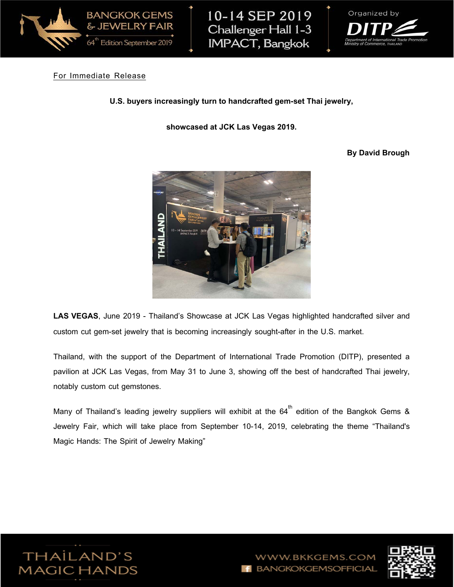

10-14 SEP 2019 Challenger Hall 1-3 **IMPACT, Bangkok** 



## For Immediate Release

**U.S. buyers increasingly turn to handcrafted gem-set Thai jewelry,**

**showcased at JCK Las Vegas 2019.**

## **By David Brough**



**LAS VEGAS**, June 2019 - Thailand's Showcase at JCK Las Vegas highlighted handcrafted silver and custom cut gem-set jewelry that is becoming increasingly sought-after in the U.S. market.

Thailand, with the support of the Department of International Trade Promotion (DITP), presented a pavilion at JCK Las Vegas, from May 31 to June 3, showing off the best of handcrafted Thai jewelry, notably custom cut gemstones.

Many of Thailand's leading jewelry suppliers will exhibit at the  $64^{th}$  edition of the Bangkok Gems & Jewelry Fair, which will take place from September 10-14, 2019, celebrating the theme "Thailand's Magic Hands: The Spirit of Jewelry Making"



W.BKKGEMS.COM **BANGKOKGEMSOFFICIAL** 

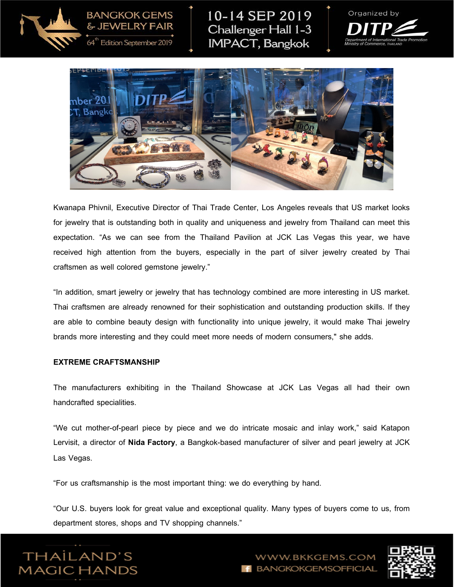

10-14 SEP 2019 Challenger Hall 1-3 **IMPACT, Bangkok** 





Kwanapa Phivnil, Executive Director of Thai Trade Center, Los Angeles reveals that US market looks for jewelry that is outstanding both in quality and uniqueness and jewelry from Thailand can meet this expectation. "As we can see from the Thailand Pavilion at JCK Las Vegas this year, we have received high attention from the buyers, especially in the part of silver jewelry created by Thai craftsmen as well colored gemstone jewelry."

"In addition, smart jewelry or jewelry that has technology combined are more interesting in US market. Thai craftsmen are already renowned for their sophistication and outstanding production skills. If they are able to combine beauty design with functionality into unique jewelry, it would make Thai jewelry brands more interesting and they could meet more needs of modern consumers," she adds.

## **EXTREME CRAFTSMANSHIP**

The manufacturers exhibiting in the Thailand Showcase at JCK Las Vegas all had their own handcrafted specialities.

"We cut mother-of-pearl piece by piece and we do intricate mosaic and inlay work," said Katapon Lervisit, a director of **Nida Factory**, a Bangkok-based manufacturer of silver and pearl jewelry at JCK Las Vegas.

"For us craftsmanship is the most important thing: we do everything by hand.

"Our U.S. buyers look for great value and exceptional quality. Many types of buyers come to us, from department stores, shops and TV shopping channels."



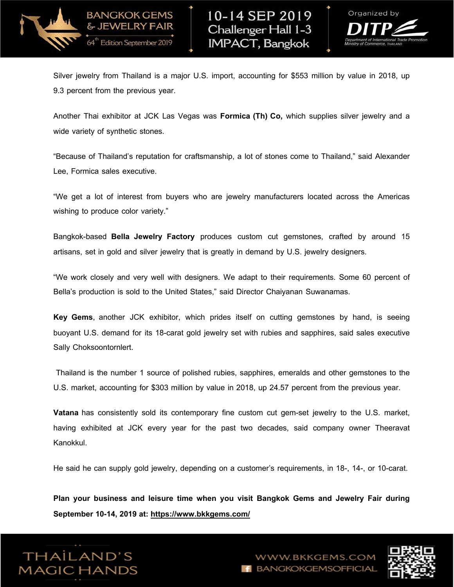

& JEWELRY FAIR

64" Edition September 2019



Silver jewelry from Thailand is a major U.S. import, accounting for \$553 million by value in 2018, up 9.3 percent from the previous year.

Another Thai exhibitor at JCK Las Vegas was **Formica (Th) Co,** which supplies silver jewelry and a wide variety of synthetic stones.

"Because of Thailand's reputation for craftsmanship, a lot of stones come to Thailand," said Alexander Lee, Formica sales executive.

"We get a lot of interest from buyers who are jewelry manufacturers located across the Americas wishing to produce color variety."

Bangkok-based **Bella Jewelry Factory** produces custom cut gemstones, crafted by around 15 artisans, set in gold and silver jewelry that is greatly in demand by U.S. jewelry designers.

"We work closely and very well with designers. We adapt to their requirements. Some 60 percent of Bella's production is sold to the United States," said Director Chaiyanan Suwanamas.

**Key Gems**, another JCK exhibitor, which prides itself on cutting gemstones by hand, is seeing buoyant U.S. demand for its 18-carat gold jewelry set with rubies and sapphires, said sales executive Sally Choksoontornlert.

Thailand is the number 1 source of polished rubies, sapphires, emeralds and other gemstones to the U.S. market, accounting for \$303 million by value in 2018, up 24.57 percent from the previous year.

**Vatana** has consistently sold its contemporary fine custom cut gem-set jewelry to the U.S. market, having exhibited at JCK every year for the past two decades, said company owner Theeravat Kanokkul.

He said he can supply gold jewelry, depending on a customer's requirements, in 18-, 14-, or 10-carat.

**Plan your business and leisure time when you visit Bangkok Gems and Jewelry Fair during September 10-14, 2019 at:<https://www.bkkgems.com/>**